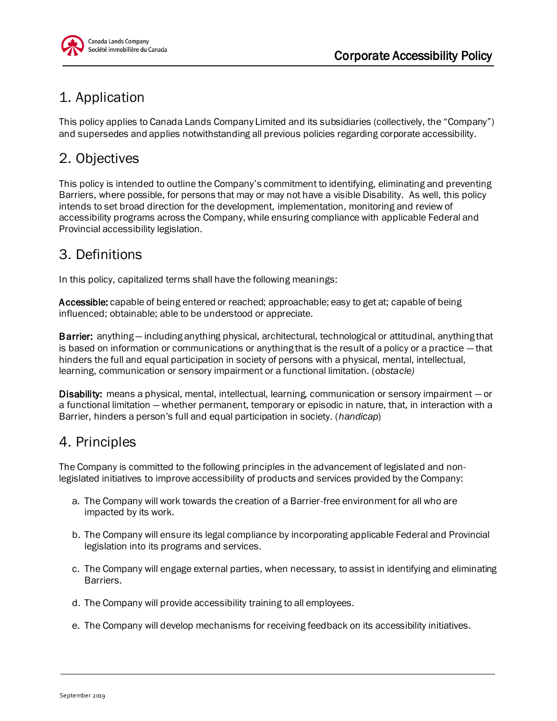

### 1. Application

This policy applies to Canada Lands Company Limited and its subsidiaries (collectively, the "Company") and supersedes and applies notwithstanding all previous policies regarding corporate accessibility.

# 2. Objectives

This policy is intended to outline the Company's commitment to identifying, eliminating and preventing Barriers, where possible, for persons that may or may not have a visible Disability. As well, this policy intends to set broad direction for the development, implementation, monitoring and review of accessibility programs across the Company, while ensuring compliance with applicable Federal and Provincial accessibility legislation.

#### 3. Definitions

In this policy, capitalized terms shall have the following meanings:

Accessible: capable of being entered or reached; approachable; easy to get at; capable of being influenced; obtainable; able to be understood or appreciate.

Barrier: anything— including anything physical, architectural, technological or attitudinal, anything that is based on information or communications or anything that is the result of a policy or a practice — that hinders the full and equal participation in society of persons with a physical, mental, intellectual, learning, communication or sensory impairment or a functional limitation. (*obstacle)*

Disability: means a physical, mental, intellectual, learning, communication or sensory impairment — or a functional limitation — whether permanent, temporary or episodic in nature, that, in interaction with a Barrier, hinders a person's full and equal participation in society. (*handicap*)

### 4. Principles

The Company is committed to the following principles in the advancement of legislated and nonlegislated initiatives to improve accessibility of products and services provided by the Company:

- a. The Company will work towards the creation of a Barrier-free environment for all who are impacted by its work.
- b. The Company will ensure its legal compliance by incorporating applicable Federal and Provincial legislation into its programs and services.
- c. The Company will engage external parties, when necessary, to assist in identifying and eliminating Barriers.
- d. The Company will provide accessibility training to all employees.
- e. The Company will develop mechanisms for receiving feedback on its accessibility initiatives.